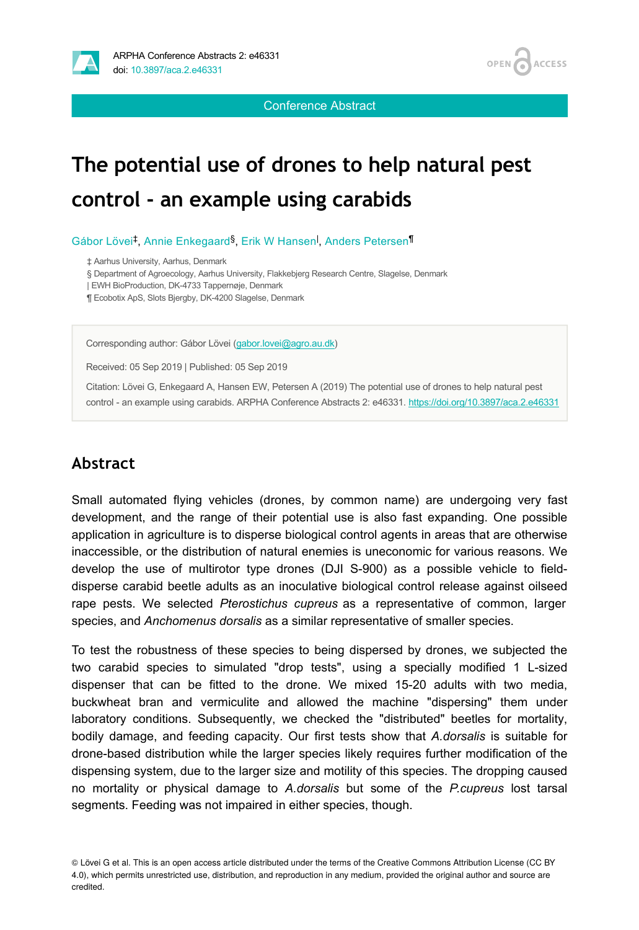**OPEN ACCESS** 

Conference Abstract

## **The potential use of drones to help natural pest control - an example using carabids**

Gábor Lövei<sup>‡</sup>, Annie Enkegaard<sup>§</sup>, Erik W Hansen<sup>l</sup>, Anders Petersen<sup>¶</sup>

‡ Aarhus University, Aarhus, Denmark

§ Department of Agroecology, Aarhus University, Flakkebjerg Research Centre, Slagelse, Denmark

| EWH BioProduction, DK-4733 Tappernøje, Denmark

¶ Ecobotix ApS, Slots Bjergby, DK-4200 Slagelse, Denmark

Corresponding author: Gábor Lövei ([gabor.lovei@agro.au.dk\)](mailto:gabor.lovei@agro.au.dk)

Received: 05 Sep 2019 | Published: 05 Sep 2019

Citation: Lövei G, Enkegaard A, Hansen EW, Petersen A (2019) The potential use of drones to help natural pest control - an example using carabids. ARPHA Conference Abstracts 2: e46331. <https://doi.org/10.3897/aca.2.e46331>

## **Abstract**

Small automated flying vehicles (drones, by common name) are undergoing very fast development, and the range of their potential use is also fast expanding. One possible application in agriculture is to disperse biological control agents in areas that are otherwise inaccessible, or the distribution of natural enemies is uneconomic for various reasons. We develop the use of multirotor type drones (DJI S-900) as a possible vehicle to fielddisperse carabid beetle adults as an inoculative biological control release against oilseed rape pests. We selected *Pterostichus cupreus* as a representative of common, larger species, and *Anchomenus dorsalis* as a similar representative of smaller species.

To test the robustness of these species to being dispersed by drones, we subjected the two carabid species to simulated "drop tests", using a specially modified 1 L-sized dispenser that can be fitted to the drone. We mixed 15-20 adults with two media, buckwheat bran and vermiculite and allowed the machine "dispersing" them under laboratory conditions. Subsequently, we checked the "distributed" beetles for mortality, bodily damage, and feeding capacity. Our first tests show that *A.dorsalis* is suitable for drone-based distribution while the larger species likely requires further modification of the dispensing system, due to the larger size and motility of this species. The dropping caused no mortality or physical damage to *A.dorsalis* but some of the *P.cupreus* lost tarsal segments. Feeding was not impaired in either species, though.

<sup>©</sup> Lövei G et al. This is an open access article distributed under the terms of the Creative Commons Attribution License (CC BY 4.0), which permits unrestricted use, distribution, and reproduction in any medium, provided the original author and source are credited.